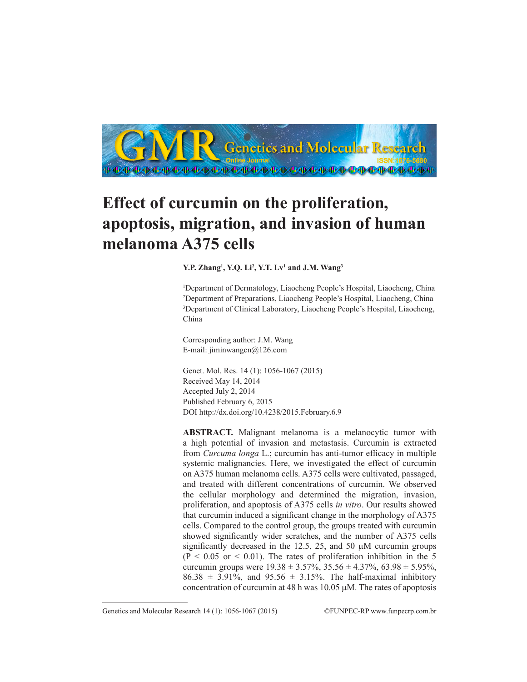

## **Effect of curcumin on the proliferation, apoptosis, migration, and invasion of human melanoma A375 cells**

## **Y.P. Zhang1 , Y.Q. Li2 , Y.T. Lv1 and J.M. Wang3**

 Department of Dermatology, Liaocheng People's Hospital, Liaocheng, China Department of Preparations, Liaocheng People's Hospital, Liaocheng, China Department of Clinical Laboratory, Liaocheng People's Hospital, Liaocheng, China

Corresponding author: J.M. Wang E-mail: jiminwangcn@126.com

Genet. Mol. Res. 14 (1): 1056-1067 (2015) Received May 14, 2014 Accepted July 2, 2014 Published February 6, 2015 DOI http://dx.doi.org/10.4238/2015.February.6.9

**ABSTRACT.** Malignant melanoma is a melanocytic tumor with a high potential of invasion and metastasis. Curcumin is extracted from *Curcuma longa* L.; curcumin has anti-tumor efficacy in multiple systemic malignancies. Here, we investigated the effect of curcumin on A375 human melanoma cells. A375 cells were cultivated, passaged, and treated with different concentrations of curcumin. We observed the cellular morphology and determined the migration, invasion, proliferation, and apoptosis of A375 cells *in vitro*. Our results showed that curcumin induced a significant change in the morphology of A375 cells. Compared to the control group, the groups treated with curcumin showed significantly wider scratches, and the number of A375 cells significantly decreased in the 12.5, 25, and 50  $\mu$ M curcumin groups  $(P < 0.05$  or  $< 0.01$ ). The rates of proliferation inhibition in the 5 curcumin groups were  $19.38 \pm 3.57\%$ ,  $35.56 \pm 4.37\%$ ,  $63.98 \pm 5.95\%$ ,  $86.38 \pm 3.91\%$ , and  $95.56 \pm 3.15\%$ . The half-maximal inhibitory concentration of curcumin at 48 h was  $10.05 \mu$ M. The rates of apoptosis

Genetics and Molecular Research 14 (1): 1056-1067 (2015) ©FUNPEC-RP www.funpecrp.com.br